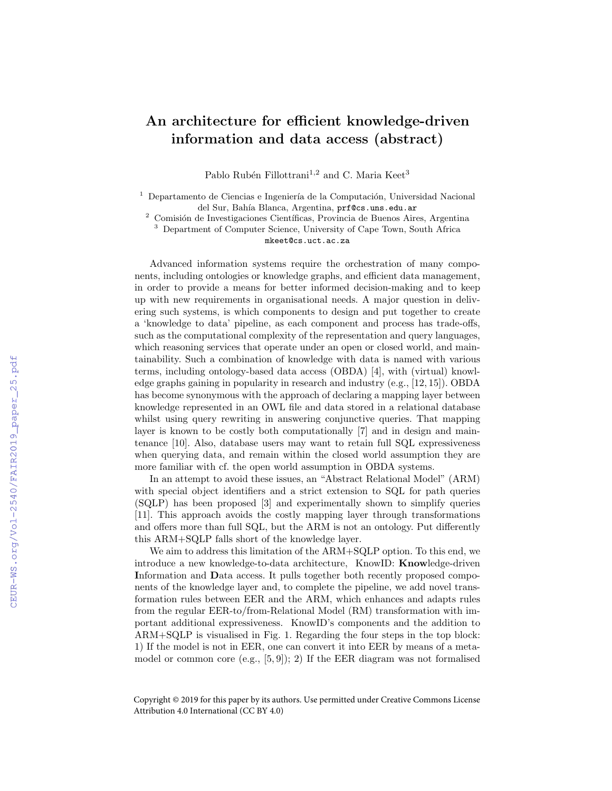## An architecture for efficient knowledge-driven information and data access (abstract)

Pablo Rubén Fillottrani<sup>1,2</sup> and C. Maria Keet<sup>3</sup>

 $^{\rm 1}$  Departamento de Ciencias e Ingeniería de la Computación, Universidad Nacional del Sur, Bahía Blanca, Argentina, prf@cs.uns.edu.ar

Comisión de Investigaciones Científicas, Provincia de Buenos Aires, Argentina

<sup>3</sup> Department of Computer Science, University of Cape Town, South Africa mkeet@cs.uct.ac.za

Advanced information systems require the orchestration of many components, including ontologies or knowledge graphs, and efficient data management, in order to provide a means for better informed decision-making and to keep up with new requirements in organisational needs. A major question in delivering such systems, is which components to design and put together to create a 'knowledge to data' pipeline, as each component and process has trade-offs, such as the computational complexity of the representation and query languages, which reasoning services that operate under an open or closed world, and maintainability. Such a combination of knowledge with data is named with various terms, including ontology-based data access (OBDA) [4], with (virtual) knowledge graphs gaining in popularity in research and industry (e.g., [12, 15]). OBDA has become synonymous with the approach of declaring a mapping layer between knowledge represented in an OWL file and data stored in a relational database whilst using query rewriting in answering conjunctive queries. That mapping layer is known to be costly both computationally [7] and in design and maintenance [10]. Also, database users may want to retain full SQL expressiveness when querying data, and remain within the closed world assumption they are more familiar with cf. the open world assumption in OBDA systems.

In an attempt to avoid these issues, an "Abstract Relational Model" (ARM) with special object identifiers and a strict extension to SQL for path queries (SQLP) has been proposed [3] and experimentally shown to simplify queries [11]. This approach avoids the costly mapping layer through transformations and offers more than full SQL, but the ARM is not an ontology. Put differently this ARM+SQLP falls short of the knowledge layer.

We aim to address this limitation of the ARM+SQLP option. To this end, we introduce a new knowledge-to-data architecture, KnowID: Knowledge-driven Information and Data access. It pulls together both recently proposed components of the knowledge layer and, to complete the pipeline, we add novel transformation rules between EER and the ARM, which enhances and adapts rules from the regular EER-to/from-Relational Model (RM) transformation with important additional expressiveness. KnowID's components and the addition to ARM+SQLP is visualised in Fig. 1. Regarding the four steps in the top block: 1) If the model is not in EER, one can convert it into EER by means of a metamodel or common core (e.g.,  $[5, 9]$ ); 2) If the EER diagram was not formalised

Copyright © 2019 for this paper by its authors. Use permitted under Creative Commons License Attribution 4.0 International (CC BY 4.0)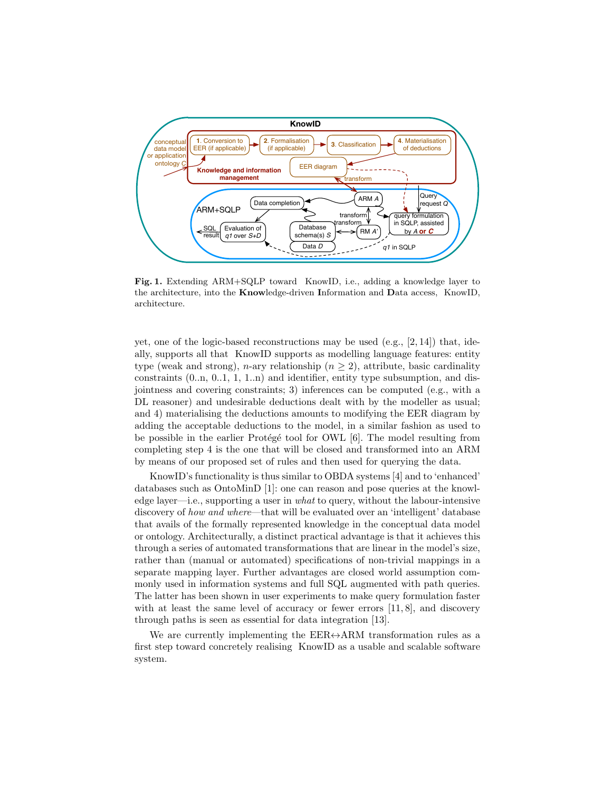

Fig. 1. Extending ARM+SQLP toward KnowID, i.e., adding a knowledge layer to the architecture, into the Knowledge-driven Information and Data access, KnowID, architecture.

yet, one of the logic-based reconstructions may be used (e.g.,  $[2, 14]$ ) that, ideally, supports all that KnowID supports as modelling language features: entity type (weak and strong), *n*-ary relationship  $(n \geq 2)$ , attribute, basic cardinality constraints (0..n, 0..1, 1, 1..n) and identifier, entity type subsumption, and disjointness and covering constraints; 3) inferences can be computed (e.g., with a DL reasoner) and undesirable deductions dealt with by the modeller as usual; and 4) materialising the deductions amounts to modifying the EER diagram by adding the acceptable deductions to the model, in a similar fashion as used to be possible in the earlier Protégé tool for OWL  $[6]$ . The model resulting from completing step 4 is the one that will be closed and transformed into an ARM by means of our proposed set of rules and then used for querying the data.

KnowID's functionality is thus similar to OBDA systems [4] and to 'enhanced' databases such as OntoMinD [1]: one can reason and pose queries at the knowledge layer—i.e., supporting a user in what to query, without the labour-intensive discovery of how and where—that will be evaluated over an 'intelligent' database that avails of the formally represented knowledge in the conceptual data model or ontology. Architecturally, a distinct practical advantage is that it achieves this through a series of automated transformations that are linear in the model's size, rather than (manual or automated) specifications of non-trivial mappings in a separate mapping layer. Further advantages are closed world assumption commonly used in information systems and full SQL augmented with path queries. The latter has been shown in user experiments to make query formulation faster with at least the same level of accuracy or fewer errors  $[11, 8]$ , and discovery through paths is seen as essential for data integration [13].

We are currently implementing the  $EER \leftrightarrow ARM$  transformation rules as a first step toward concretely realising KnowID as a usable and scalable software system.